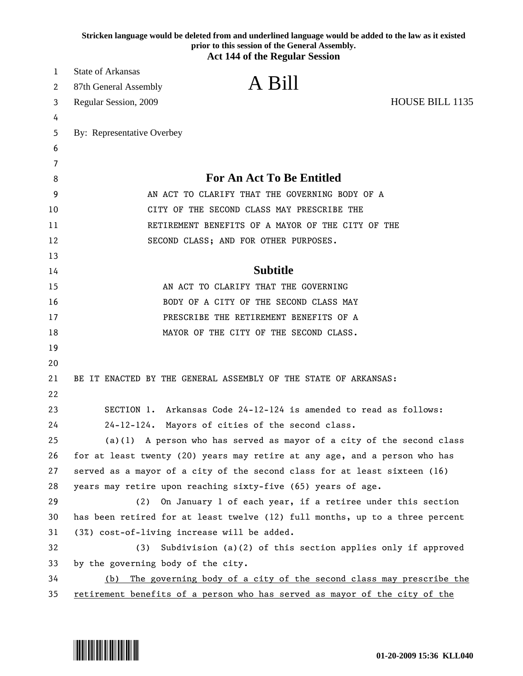|    | Stricken language would be deleted from and underlined language would be added to the law as it existed<br>prior to this session of the General Assembly. |
|----|-----------------------------------------------------------------------------------------------------------------------------------------------------------|
|    | <b>Act 144 of the Regular Session</b>                                                                                                                     |
| 1  | <b>State of Arkansas</b>                                                                                                                                  |
| 2  | A Bill<br>87th General Assembly                                                                                                                           |
| 3  | HOUSE BILL 1135<br>Regular Session, 2009                                                                                                                  |
| 4  |                                                                                                                                                           |
| 5  | By: Representative Overbey                                                                                                                                |
| 6  |                                                                                                                                                           |
| 7  |                                                                                                                                                           |
| 8  | <b>For An Act To Be Entitled</b>                                                                                                                          |
| 9  | AN ACT TO CLARIFY THAT THE GOVERNING BODY OF A                                                                                                            |
| 10 | CITY OF THE SECOND CLASS MAY PRESCRIBE THE                                                                                                                |
| 11 | RETIREMENT BENEFITS OF A MAYOR OF THE CITY OF THE                                                                                                         |
| 12 | SECOND CLASS; AND FOR OTHER PURPOSES.                                                                                                                     |
| 13 |                                                                                                                                                           |
| 14 | <b>Subtitle</b>                                                                                                                                           |
| 15 | AN ACT TO CLARIFY THAT THE GOVERNING                                                                                                                      |
| 16 | BODY OF A CITY OF THE SECOND CLASS MAY                                                                                                                    |
| 17 | PRESCRIBE THE RETIREMENT BENEFITS OF A                                                                                                                    |
| 18 | MAYOR OF THE CITY OF THE SECOND CLASS.                                                                                                                    |
| 19 |                                                                                                                                                           |
| 20 |                                                                                                                                                           |
| 21 | BE IT ENACTED BY THE GENERAL ASSEMBLY OF THE STATE OF ARKANSAS:                                                                                           |
| 22 |                                                                                                                                                           |
| 23 | SECTION 1. Arkansas Code 24-12-124 is amended to read as follows:                                                                                         |
| 24 | 24-12-124. Mayors of cities of the second class.                                                                                                          |
| 25 | $(a)(1)$ A person who has served as mayor of a city of the second class                                                                                   |
| 26 | for at least twenty (20) years may retire at any age, and a person who has                                                                                |
| 27 | served as a mayor of a city of the second class for at least sixteen (16)                                                                                 |
| 28 | years may retire upon reaching sixty-five (65) years of age.                                                                                              |
| 29 | On January 1 of each year, if a retiree under this section<br>(2)                                                                                         |
| 30 | has been retired for at least twelve (12) full months, up to a three percent                                                                              |
| 31 | (3%) cost-of-living increase will be added.                                                                                                               |
| 32 | Subdivision (a) $(2)$ of this section applies only if approved<br>(3)                                                                                     |
| 33 | by the governing body of the city.                                                                                                                        |
| 34 | The governing body of a city of the second class may prescribe the<br>(b)                                                                                 |
| 35 | retirement benefits of a person who has served as mayor of the city of the                                                                                |